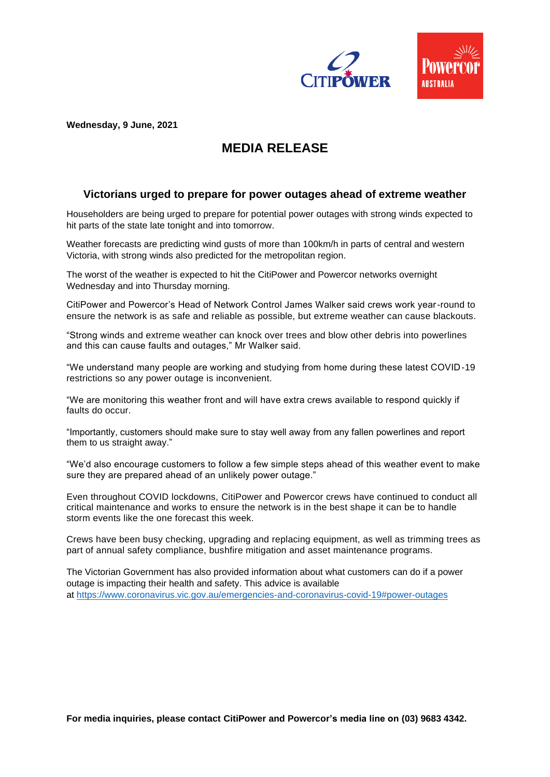

**Wednesday, 9 June, 2021**

# **MEDIA RELEASE**

## **Victorians urged to prepare for power outages ahead of extreme weather**

Householders are being urged to prepare for potential power outages with strong winds expected to hit parts of the state late tonight and into tomorrow.

Weather forecasts are predicting wind gusts of more than 100km/h in parts of central and western Victoria, with strong winds also predicted for the metropolitan region.

The worst of the weather is expected to hit the CitiPower and Powercor networks overnight Wednesday and into Thursday morning.

CitiPower and Powercor's Head of Network Control James Walker said crews work year-round to ensure the network is as safe and reliable as possible, but extreme weather can cause blackouts.

"Strong winds and extreme weather can knock over trees and blow other debris into powerlines and this can cause faults and outages," Mr Walker said.

"We understand many people are working and studying from home during these latest COVID-19 restrictions so any power outage is inconvenient.

"We are monitoring this weather front and will have extra crews available to respond quickly if faults do occur.

"Importantly, customers should make sure to stay well away from any fallen powerlines and report them to us straight away."

"We'd also encourage customers to follow a few simple steps ahead of this weather event to make sure they are prepared ahead of an unlikely power outage."

Even throughout COVID lockdowns, CitiPower and Powercor crews have continued to conduct all critical maintenance and works to ensure the network is in the best shape it can be to handle storm events like the one forecast this week.

Crews have been busy checking, upgrading and replacing equipment, as well as trimming trees as part of annual safety compliance, bushfire mitigation and asset maintenance programs.

The Victorian Government has also provided information about what customers can do if a power outage is impacting their health and safety. This advice is available at <https://www.coronavirus.vic.gov.au/emergencies-and-coronavirus-covid-19#power-outages>